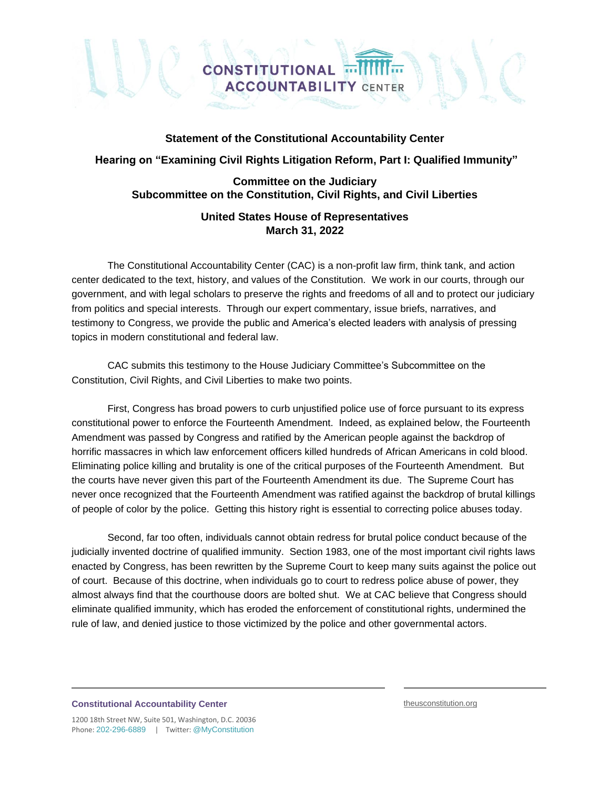## **Statement of the Constitutional Accountability Center**

**ACCOUNTABILITY CENTER** 

**CONSTITUTIONAL** 

## **Hearing on "Examining Civil Rights Litigation Reform, Part I: Qualified Immunity"**

# **Committee on the Judiciary Subcommittee on the Constitution, Civil Rights, and Civil Liberties**

# **United States House of Representatives March 31, 2022**

The Constitutional Accountability Center (CAC) is a non-profit law firm, think tank, and action center dedicated to the text, history, and values of the Constitution. We work in our courts, through our government, and with legal scholars to preserve the rights and freedoms of all and to protect our judiciary from politics and special interests. Through our expert commentary, issue briefs, narratives, and testimony to Congress, we provide the public and America's elected leaders with analysis of pressing topics in modern constitutional and federal law.

CAC submits this testimony to the House Judiciary Committee's Subcommittee on the Constitution, Civil Rights, and Civil Liberties to make two points.

First, Congress has broad powers to curb unjustified police use of force pursuant to its express constitutional power to enforce the Fourteenth Amendment. Indeed, as explained below, the Fourteenth Amendment was passed by Congress and ratified by the American people against the backdrop of horrific massacres in which law enforcement officers killed hundreds of African Americans in cold blood. Eliminating police killing and brutality is one of the critical purposes of the Fourteenth Amendment. But the courts have never given this part of the Fourteenth Amendment its due. The Supreme Court has never once recognized that the Fourteenth Amendment was ratified against the backdrop of brutal killings of people of color by the police. Getting this history right is essential to correcting police abuses today.

Second, far too often, individuals cannot obtain redress for brutal police conduct because of the judicially invented doctrine of qualified immunity. Section 1983, one of the most important civil rights laws enacted by Congress, has been rewritten by the Supreme Court to keep many suits against the police out of court. Because of this doctrine, when individuals go to court to redress police abuse of power, they almost always find that the courthouse doors are bolted shut. We at CAC believe that Congress should eliminate qualified immunity, which has eroded the enforcement of constitutional rights, undermined the rule of law, and denied justice to those victimized by the police and other governmental actors.

#### **Constitutional Accountability Center**

theusconstitution.org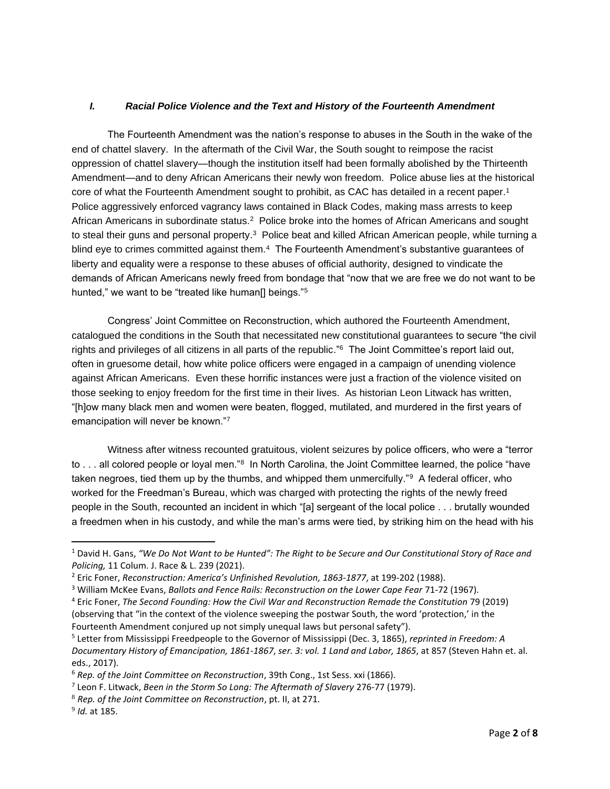## *I. Racial Police Violence and the Text and History of the Fourteenth Amendment*

The Fourteenth Amendment was the nation's response to abuses in the South in the wake of the end of chattel slavery. In the aftermath of the Civil War, the South sought to reimpose the racist oppression of chattel slavery—though the institution itself had been formally abolished by the Thirteenth Amendment—and to deny African Americans their newly won freedom. Police abuse lies at the historical core of what the Fourteenth Amendment sought to prohibit, as CAC has detailed in a recent paper. 1 Police aggressively enforced vagrancy laws contained in Black Codes, making mass arrests to keep African Americans in subordinate status.<sup>2</sup> Police broke into the homes of African Americans and sought to steal their guns and personal property.<sup>3</sup> Police beat and killed African American people, while turning a blind eye to crimes committed against them.<sup>4</sup> The Fourteenth Amendment's substantive quarantees of liberty and equality were a response to these abuses of official authority, designed to vindicate the demands of African Americans newly freed from bondage that "now that we are free we do not want to be hunted," we want to be "treated like human<sup>[]</sup> beings."<sup>5</sup>

Congress' Joint Committee on Reconstruction, which authored the Fourteenth Amendment, catalogued the conditions in the South that necessitated new constitutional guarantees to secure "the civil rights and privileges of all citizens in all parts of the republic." <sup>6</sup> The Joint Committee's report laid out, often in gruesome detail, how white police officers were engaged in a campaign of unending violence against African Americans. Even these horrific instances were just a fraction of the violence visited on those seeking to enjoy freedom for the first time in their lives. As historian Leon Litwack has written, "[h]ow many black men and women were beaten, flogged, mutilated, and murdered in the first years of emancipation will never be known."7

Witness after witness recounted gratuitous, violent seizures by police officers, who were a "terror to . . . all colored people or loyal men."<sup>8</sup> In North Carolina, the Joint Committee learned, the police "have taken negroes, tied them up by the thumbs, and whipped them unmercifully."<sup>9</sup> A federal officer, who worked for the Freedman's Bureau, which was charged with protecting the rights of the newly freed people in the South, recounted an incident in which "[a] sergeant of the local police . . . brutally wounded a freedmen when in his custody, and while the man's arms were tied, by striking him on the head with his

<sup>1</sup> David H. Gans, *"We Do Not Want to be Hunted": The Right to be Secure and Our Constitutional Story of Race and Policing,* 11 Colum. J. Race & L. 239 (2021).

<sup>2</sup> Eric Foner, *Reconstruction: America's Unfinished Revolution, 1863-1877*, at 199-202 (1988).

<sup>&</sup>lt;sup>3</sup> William McKee Evans, *Ballots and Fence Rails: Reconstruction on the Lower Cape Fear 71-72 (1967).* 

<sup>4</sup> Eric Foner, *The Second Founding: How the Civil War and Reconstruction Remade the Constitution* 79 (2019) (observing that "in the context of the violence sweeping the postwar South, the word 'protection,' in the Fourteenth Amendment conjured up not simply unequal laws but personal safety").

<sup>5</sup> Letter from Mississippi Freedpeople to the Governor of Mississippi (Dec. 3, 1865), *reprinted in Freedom: A Documentary History of Emancipation, 1861-1867*, *ser. 3: vol. 1 Land and Labor, 1865*, at 857 (Steven Hahn et. al. eds., 2017).

<sup>6</sup> *Rep. of the Joint Committee on Reconstruction*, 39th Cong., 1st Sess. xxi (1866).

<sup>7</sup> Leon F. Litwack, *Been in the Storm So Long: The Aftermath of Slavery* 276-77 (1979).

<sup>8</sup> *Rep. of the Joint Committee on Reconstruction*, pt. II, at 271.

<sup>9</sup> *Id.* at 185.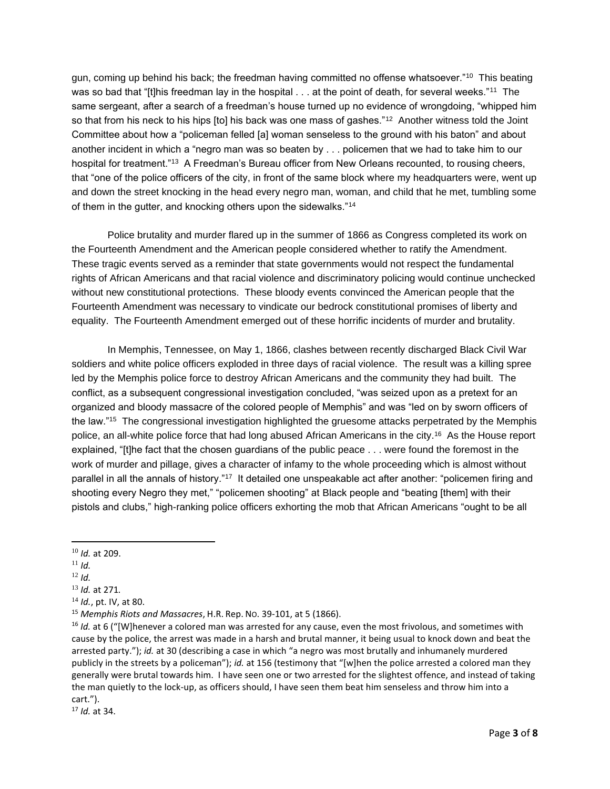gun, coming up behind his back; the freedman having committed no offense whatsoever."<sup>10</sup> This beating was so bad that "[t]his freedman lay in the hospital  $\ldots$  at the point of death, for several weeks." $^{11}$  The same sergeant, after a search of a freedman's house turned up no evidence of wrongdoing, "whipped him so that from his neck to his hips [to] his back was one mass of gashes."<sup>12</sup> Another witness told the Joint Committee about how a "policeman felled [a] woman senseless to the ground with his baton" and about another incident in which a "negro man was so beaten by . . . policemen that we had to take him to our hospital for treatment."<sup>13</sup> A Freedman's Bureau officer from New Orleans recounted, to rousing cheers, that "one of the police officers of the city, in front of the same block where my headquarters were, went up and down the street knocking in the head every negro man, woman, and child that he met, tumbling some of them in the gutter, and knocking others upon the sidewalks."<sup>14</sup>

Police brutality and murder flared up in the summer of 1866 as Congress completed its work on the Fourteenth Amendment and the American people considered whether to ratify the Amendment. These tragic events served as a reminder that state governments would not respect the fundamental rights of African Americans and that racial violence and discriminatory policing would continue unchecked without new constitutional protections. These bloody events convinced the American people that the Fourteenth Amendment was necessary to vindicate our bedrock constitutional promises of liberty and equality. The Fourteenth Amendment emerged out of these horrific incidents of murder and brutality.

In Memphis, Tennessee, on May 1, 1866, clashes between recently discharged Black Civil War soldiers and white police officers exploded in three days of racial violence. The result was a killing spree led by the Memphis police force to destroy African Americans and the community they had built. The conflict, as a subsequent congressional investigation concluded, "was seized upon as a pretext for an organized and bloody massacre of the colored people of Memphis" and was "led on by sworn officers of the law."<sup>15</sup> The congressional investigation highlighted the gruesome attacks perpetrated by the Memphis police, an all-white police force that had long abused African Americans in the city.<sup>16</sup> As the House report explained, "[t]he fact that the chosen guardians of the public peace . . . were found the foremost in the work of murder and pillage, gives a character of infamy to the whole proceeding which is almost without parallel in all the annals of history."<sup>17</sup> It detailed one unspeakable act after another: "policemen firing and shooting every Negro they met," "policemen shooting" at Black people and "beating [them] with their pistols and clubs," high-ranking police officers exhorting the mob that African Americans "ought to be all

- <sup>11</sup> *Id.*
- <sup>12</sup> *Id.*

<sup>10</sup> *Id.* at 209.

<sup>13</sup> *Id.* at 271*.*

<sup>14</sup> *Id.*, pt. IV, at 80.

<sup>15</sup> *Memphis Riots and Massacres*, H.R. Rep. NO. 39-101, at 5 (1866).

<sup>&</sup>lt;sup>16</sup> *Id.* at 6 ("[W]henever a colored man was arrested for any cause, even the most frivolous, and sometimes with cause by the police, the arrest was made in a harsh and brutal manner, it being usual to knock down and beat the arrested party."); *id.* at 30 (describing a case in which "a negro was most brutally and inhumanely murdered publicly in the streets by a policeman"); *id.* at 156 (testimony that "[w]hen the police arrested a colored man they generally were brutal towards him. I have seen one or two arrested for the slightest offence, and instead of taking the man quietly to the lock-up, as officers should, I have seen them beat him senseless and throw him into a cart.").

<sup>17</sup> *Id.* at 34.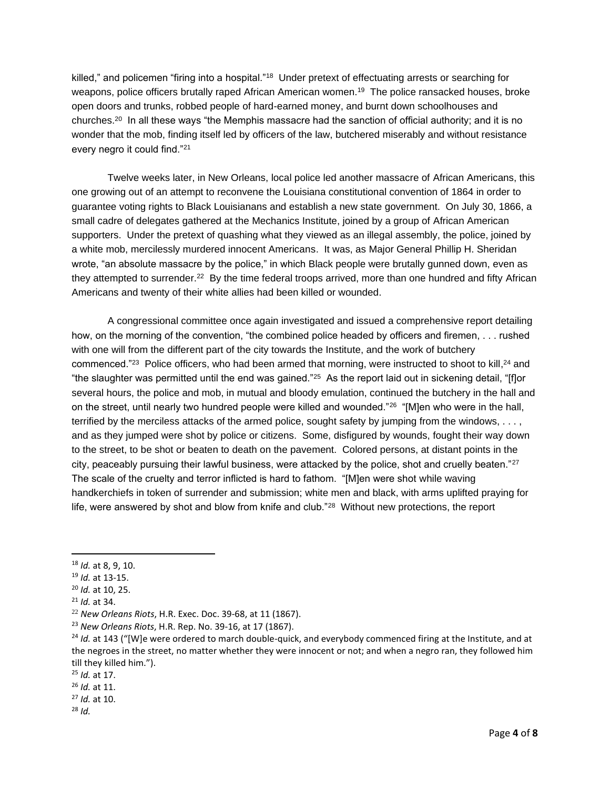killed," and policemen "firing into a hospital."<sup>18</sup> Under pretext of effectuating arrests or searching for weapons, police officers brutally raped African American women.<sup>19</sup> The police ransacked houses, broke open doors and trunks, robbed people of hard-earned money, and burnt down schoolhouses and churches.<sup>20</sup> In all these ways "the Memphis massacre had the sanction of official authority; and it is no wonder that the mob, finding itself led by officers of the law, butchered miserably and without resistance every negro it could find."<sup>21</sup>

Twelve weeks later, in New Orleans, local police led another massacre of African Americans, this one growing out of an attempt to reconvene the Louisiana constitutional convention of 1864 in order to guarantee voting rights to Black Louisianans and establish a new state government. On July 30, 1866, a small cadre of delegates gathered at the Mechanics Institute, joined by a group of African American supporters. Under the pretext of quashing what they viewed as an illegal assembly, the police, joined by a white mob, mercilessly murdered innocent Americans. It was, as Major General Phillip H. Sheridan wrote, "an absolute massacre by the police," in which Black people were brutally gunned down, even as they attempted to surrender.<sup>22</sup> By the time federal troops arrived, more than one hundred and fifty African Americans and twenty of their white allies had been killed or wounded.

A congressional committee once again investigated and issued a comprehensive report detailing how, on the morning of the convention, "the combined police headed by officers and firemen, . . . rushed with one will from the different part of the city towards the Institute, and the work of butchery commenced."<sup>23</sup> Police officers, who had been armed that morning, were instructed to shoot to kill,<sup>24</sup> and "the slaughter was permitted until the end was gained." $^{25}$  As the report laid out in sickening detail, "[f]or several hours, the police and mob, in mutual and bloody emulation, continued the butchery in the hall and on the street, until nearly two hundred people were killed and wounded."<sup>26</sup> "[M]en who were in the hall, terrified by the merciless attacks of the armed police, sought safety by jumping from the windows, . . . , and as they jumped were shot by police or citizens. Some, disfigured by wounds, fought their way down to the street, to be shot or beaten to death on the pavement. Colored persons, at distant points in the city, peaceably pursuing their lawful business, were attacked by the police, shot and cruelly beaten." $^{27}$ The scale of the cruelty and terror inflicted is hard to fathom. "[M]en were shot while waving handkerchiefs in token of surrender and submission; white men and black, with arms uplifted praying for life, were answered by shot and blow from knife and club."<sup>28</sup> Without new protections, the report

<sup>21</sup> *Id.* at 34.

<sup>18</sup> *Id.* at 8, 9, 10.

<sup>19</sup> *Id.* at 13-15.

<sup>20</sup> *Id.* at 10, 25.

<sup>22</sup> *New Orleans Riots*, H.R. Exec. Doc. 39-68, at 11 (1867).

<sup>23</sup> *New Orleans Riots*, H.R. Rep. No. 39-16, at 17 (1867).

<sup>&</sup>lt;sup>24</sup> *Id.* at 143 ("[W]e were ordered to march double-quick, and everybody commenced firing at the Institute, and at the negroes in the street, no matter whether they were innocent or not; and when a negro ran, they followed him till they killed him.").

<sup>25</sup> *Id.* at 17.

<sup>26</sup> *Id.* at 11.

<sup>27</sup> *Id.* at 10.

<sup>28</sup> *Id.*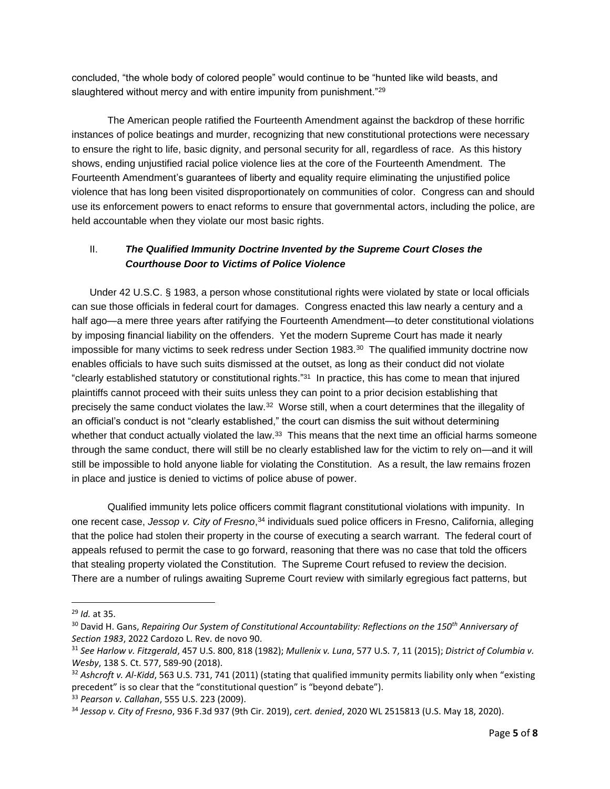concluded, "the whole body of colored people" would continue to be "hunted like wild beasts, and slaughtered without mercy and with entire impunity from punishment."<sup>29</sup>

The American people ratified the Fourteenth Amendment against the backdrop of these horrific instances of police beatings and murder, recognizing that new constitutional protections were necessary to ensure the right to life, basic dignity, and personal security for all, regardless of race. As this history shows, ending unjustified racial police violence lies at the core of the Fourteenth Amendment. The Fourteenth Amendment's guarantees of liberty and equality require eliminating the unjustified police violence that has long been visited disproportionately on communities of color. Congress can and should use its enforcement powers to enact reforms to ensure that governmental actors, including the police, are held accountable when they violate our most basic rights.

# II. *The Qualified Immunity Doctrine Invented by the Supreme Court Closes the Courthouse Door to Victims of Police Violence*

Under 42 U.S.C. § 1983, a person whose constitutional rights were violated by state or local officials can sue those officials in federal court for damages. Congress enacted this law nearly a century and a half ago—a mere three years after ratifying the Fourteenth Amendment—to deter constitutional violations by imposing financial liability on the offenders. Yet the modern Supreme Court has made it nearly impossible for many victims to seek redress under Section 1983.<sup>30</sup> The qualified immunity doctrine now enables officials to have such suits dismissed at the outset, as long as their conduct did not violate "clearly established statutory or constitutional rights."<sup>31</sup> In practice, this has come to mean that injured plaintiffs cannot proceed with their suits unless they can point to a prior decision establishing that precisely the same conduct violates the law.<sup>32</sup> Worse still, when a court determines that the illegality of an official's conduct is not "clearly established," the court can dismiss the suit without determining whether that conduct actually violated the law. $33$  This means that the next time an official harms someone through the same conduct, there will still be no clearly established law for the victim to rely on—and it will still be impossible to hold anyone liable for violating the Constitution. As a result, the law remains frozen in place and justice is denied to victims of police abuse of power.

Qualified immunity lets police officers commit flagrant constitutional violations with impunity. In one recent case, *Jessop v. City of Fresno*, <sup>34</sup> individuals sued police officers in Fresno, California, alleging that the police had stolen their property in the course of executing a search warrant. The federal court of appeals refused to permit the case to go forward, reasoning that there was no case that told the officers that stealing property violated the Constitution. The Supreme Court refused to review the decision. There are a number of rulings awaiting Supreme Court review with similarly egregious fact patterns, but

<sup>29</sup> *Id.* at 35.

<sup>30</sup> David H. Gans, *Repairing Our System of Constitutional Accountability: Reflections on the 150th Anniversary of Section 1983*, 2022 Cardozo L. Rev. de novo 90.

<sup>31</sup> *See Harlow v. Fitzgerald*, 457 U.S. 800, 818 (1982); *Mullenix v. Luna*, 577 U.S. 7, 11 (2015); *District of Columbia v. Wesby*, 138 S. Ct. 577, 589-90 (2018).

<sup>32</sup> *Ashcroft v. Al-Kidd*, 563 U.S. 731, 741 (2011) (stating that qualified immunity permits liability only when "existing precedent" is so clear that the "constitutional question" is "beyond debate").

<sup>33</sup> *Pearson v. Callahan*, 555 U.S. 223 (2009).

<sup>34</sup> *Jessop v. City of Fresno*, 936 F.3d 937 (9th Cir. 2019), *cert. denied*, 2020 WL 2515813 (U.S. May 18, 2020).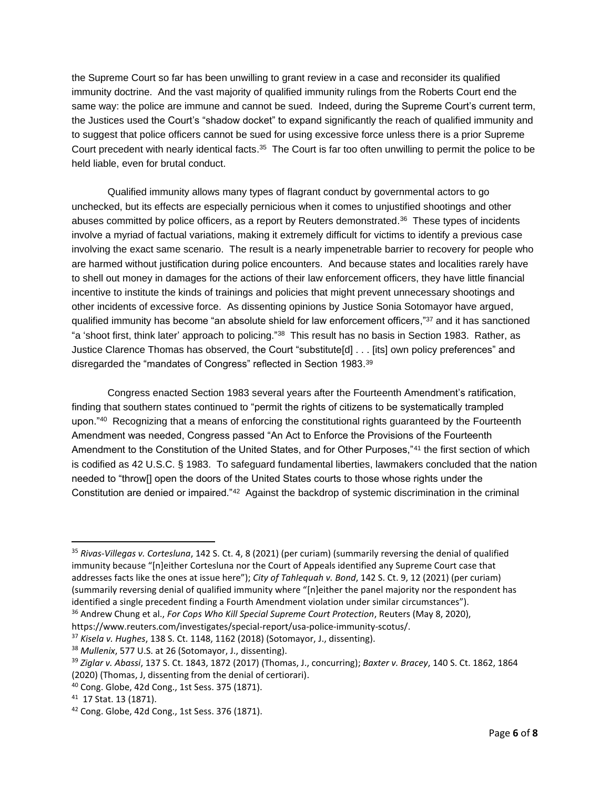the Supreme Court so far has been unwilling to grant review in a case and reconsider its qualified immunity doctrine. And the vast majority of qualified immunity rulings from the Roberts Court end the same way: the police are immune and cannot be sued. Indeed, during the Supreme Court's current term, the Justices used the Court's "shadow docket" to expand significantly the reach of qualified immunity and to suggest that police officers cannot be sued for using excessive force unless there is a prior Supreme Court precedent with nearly identical facts.<sup>35</sup> The Court is far too often unwilling to permit the police to be held liable, even for brutal conduct.

Qualified immunity allows many types of flagrant conduct by governmental actors to go unchecked, but its effects are especially pernicious when it comes to unjustified shootings and other abuses committed by police officers, as a report by Reuters demonstrated.<sup>36</sup> These types of incidents involve a myriad of factual variations, making it extremely difficult for victims to identify a previous case involving the exact same scenario. The result is a nearly impenetrable barrier to recovery for people who are harmed without justification during police encounters. And because states and localities rarely have to shell out money in damages for the actions of their law enforcement officers, they have little financial incentive to institute the kinds of trainings and policies that might prevent unnecessary shootings and other incidents of excessive force. As dissenting opinions by Justice Sonia Sotomayor have argued, qualified immunity has become "an absolute shield for law enforcement officers,"<sup>37</sup> and it has sanctioned "a 'shoot first, think later' approach to policing."<sup>38</sup> This result has no basis in Section 1983. Rather, as Justice Clarence Thomas has observed, the Court "substitute[d] . . . [its] own policy preferences" and disregarded the "mandates of Congress" reflected in Section 1983.<sup>39</sup>

Congress enacted Section 1983 several years after the Fourteenth Amendment's ratification, finding that southern states continued to "permit the rights of citizens to be systematically trampled upon."<sup>40</sup> Recognizing that a means of enforcing the constitutional rights guaranteed by the Fourteenth Amendment was needed, Congress passed "An Act to Enforce the Provisions of the Fourteenth Amendment to the Constitution of the United States, and for Other Purposes,"41 the first section of which is codified as 42 U.S.C. § 1983. To safeguard fundamental liberties, lawmakers concluded that the nation needed to "throw[] open the doors of the United States courts to those whose rights under the Constitution are denied or impaired."<sup>42</sup> Against the backdrop of systemic discrimination in the criminal

<sup>35</sup> *Rivas-Villegas v. Cortesluna*, 142 S. Ct. 4, 8 (2021) (per curiam) (summarily reversing the denial of qualified immunity because "[n]either Cortesluna nor the Court of Appeals identified any Supreme Court case that addresses facts like the ones at issue here"); *City of Tahlequah v. Bond*, 142 S. Ct. 9, 12 (2021) (per curiam) (summarily reversing denial of qualified immunity where "[n]either the panel majority nor the respondent has identified a single precedent finding a Fourth Amendment violation under similar circumstances").

<sup>36</sup> Andrew Chung et al., *For Cops Who Kill Special Supreme Court Protection*, Reuters (May 8, 2020),

https://www.reuters.com/investigates/special-report/usa-police-immunity-scotus/.

<sup>37</sup> *Kisela v. Hughes*, 138 S. Ct. 1148, 1162 (2018) (Sotomayor, J., dissenting).

<sup>38</sup> *Mullenix*, 577 U.S. at 26 (Sotomayor, J., dissenting).

<sup>39</sup> *Ziglar v. Abassi*, 137 S. Ct. 1843, 1872 (2017) (Thomas, J., concurring); *Baxter v. Bracey*, 140 S. Ct. 1862, 1864 (2020) (Thomas, J, dissenting from the denial of certiorari).

<sup>40</sup> Cong. Globe, 42d Cong., 1st Sess. 375 (1871).

<sup>41</sup> 17 Stat. 13 (1871).

<sup>42</sup> Cong. Globe, 42d Cong., 1st Sess. 376 (1871).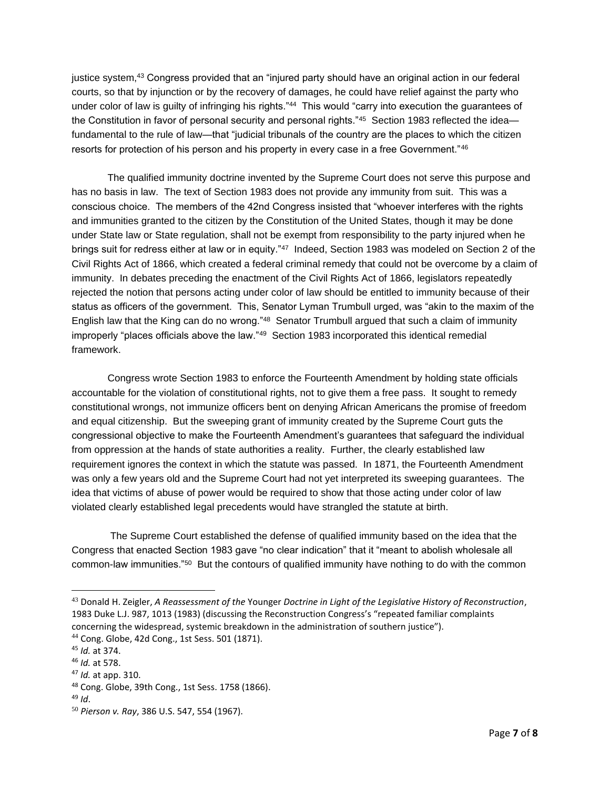justice system,<sup>43</sup> Congress provided that an "injured party should have an original action in our federal courts, so that by injunction or by the recovery of damages, he could have relief against the party who under color of law is guilty of infringing his rights."<sup>44</sup> This would "carry into execution the guarantees of the Constitution in favor of personal security and personal rights."<sup>45</sup> Section 1983 reflected the idea fundamental to the rule of law—that "judicial tribunals of the country are the places to which the citizen resorts for protection of his person and his property in every case in a free Government."<sup>46</sup>

The qualified immunity doctrine invented by the Supreme Court does not serve this purpose and has no basis in law. The text of Section 1983 does not provide any immunity from suit. This was a conscious choice. The members of the 42nd Congress insisted that "whoever interferes with the rights and immunities granted to the citizen by the Constitution of the United States, though it may be done under State law or State regulation, shall not be exempt from responsibility to the party injured when he brings suit for redress either at law or in equity."<sup>47</sup> Indeed, Section 1983 was modeled on Section 2 of the Civil Rights Act of 1866, which created a federal criminal remedy that could not be overcome by a claim of immunity. In debates preceding the enactment of the Civil Rights Act of 1866, legislators repeatedly rejected the notion that persons acting under color of law should be entitled to immunity because of their status as officers of the government. This, Senator Lyman Trumbull urged, was "akin to the maxim of the English law that the King can do no wrong."<sup>48</sup> Senator Trumbull argued that such a claim of immunity improperly "places officials above the law."<sup>49</sup> Section 1983 incorporated this identical remedial framework.

Congress wrote Section 1983 to enforce the Fourteenth Amendment by holding state officials accountable for the violation of constitutional rights, not to give them a free pass. It sought to remedy constitutional wrongs, not immunize officers bent on denying African Americans the promise of freedom and equal citizenship. But the sweeping grant of immunity created by the Supreme Court guts the congressional objective to make the Fourteenth Amendment's guarantees that safeguard the individual from oppression at the hands of state authorities a reality. Further, the clearly established law requirement ignores the context in which the statute was passed. In 1871, the Fourteenth Amendment was only a few years old and the Supreme Court had not yet interpreted its sweeping guarantees. The idea that victims of abuse of power would be required to show that those acting under color of law violated clearly established legal precedents would have strangled the statute at birth.

The Supreme Court established the defense of qualified immunity based on the idea that the Congress that enacted Section 1983 gave "no clear indication" that it "meant to abolish wholesale all common-law immunities."<sup>50</sup> But the contours of qualified immunity have nothing to do with the common

<sup>43</sup> Donald H. Zeigler, *A Reassessment of the* Younger *Doctrine in Light of the Legislative History of Reconstruction*, 1983 Duke L.J. 987, 1013 (1983) (discussing the Reconstruction Congress's "repeated familiar complaints concerning the widespread, systemic breakdown in the administration of southern justice").

<sup>44</sup> Cong. Globe, 42d Cong., 1st Sess. 501 (1871).

<sup>45</sup> *Id.* at 374.

<sup>46</sup> *Id.* at 578.

<sup>47</sup> *Id.* at app. 310.

<sup>48</sup> Cong. Globe, 39th Cong., 1st Sess. 1758 (1866).

<sup>49</sup> *Id*.

<sup>50</sup> *Pierson v. Ray*, 386 U.S. 547, 554 (1967).